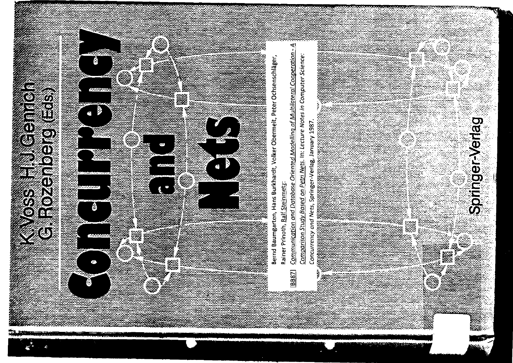# 



Bernd Baumgarten, Hans Burkhardt, Volker Obermeit, Peter Ochsenschläger, Rainer Prinoth, Ralf Steinmetz:

Communication and Database Oriented Modelling of Multilateral Cooperation - A Comparison Study Based on Petri Nets. In: Lecture Notes in Computer Science: [BB87]

Concurrency and Nets, Springer-Verlag, January 1987 **BACKERS** 



龖

Springer-Verlag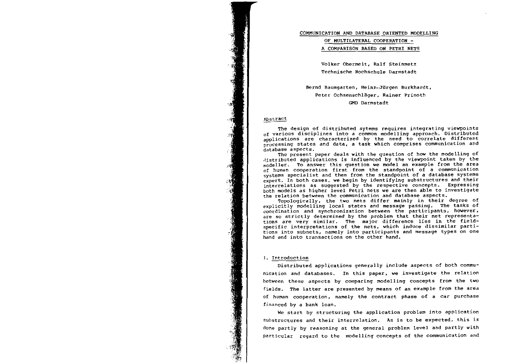### **COMMUNICATION AND DATABASE ORIENTED MODELLING**

## **OF MULTILATERAL COOPERATION** - **A COMPARISON BASED ON PETRI NETC**

**Volker Obermeit, Ralf Steinmetz Technische Hochschule Darmstadt** 

**Bernd Baumgarten, Heinz-Jilrgen Burkhardt,**  Peter Ochsenschläger, Rainer Prinoth **GMD Darmstadt** 

### Abstract

**The design of distributed sytems requires integrating vievpoints various disciplines into a common modelling approach. Distributed applications are characterized by the need to correlate different Drocessing states and data. a task which comprises communication and database aspects.** 

**The present paper deals with the question OE hov the modelling of aistributed applications is influenced by the vievpoint taken by the**  modeller. To answer this question we model an example from the area **OE human cooperation first' from the standpoint of a communication systems specialict and then from the standpoint of a database Systems expert. In both cases. we begin by identifying substructures and their interrelations as suggested by the respective concepts. Expressing both models as hiqher level Petri nets ue are then able to investigate the relation between the communication and database aspects.** 

**Topologically, the two nets differ mainly in their degree of explicitly modelling local states and message passing. The tasks of coordination and synchronization between the participants. hwever, are so strictly determined by the problem that their net representations are very similar. The major differente lies in the fieldcpecific interpretations of the nets, which induce dissimilar partitions into subnets, namely into participants and message types on one hand and into transactions on the other hand.** 

### I. **Introduction**

**Distributed applications generally include aspects of both communication and databases. In this paper, we investigate the relation between these aspects by comparing modelling concepts Erom the two Eields. The latter are presented by means of an example from the area OE human cooperation, namely the contract phase of a car purchase financed by a bank loan.** 

**We start by structuring the application problem into application substructures and their interrelation. As is to be expected, this is done partly by reaconing at the general problem level and partly with particular regard to the modelling concepts of the communication and**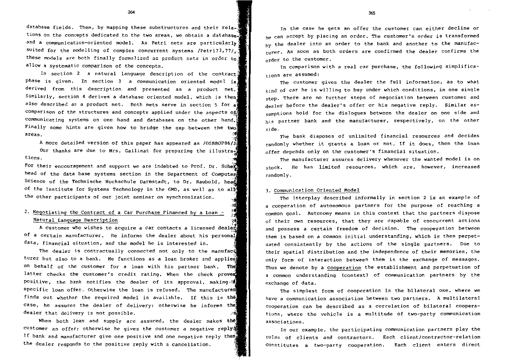364

database fields. Then, by mapping these substructures and their relations **on**  the concepts dedicated to the two areas. we obtain **a** database-1 and a communication-oriented model. **As** Petri nets are particularly suited for the modelling of complex concurrent systems /Petri73.77/. these models are both finally formalized as product nets in order to allow **a** systematic comparison of the concepts.

In section 2 a natural language description of the contract. phase is given. In section 3 a communication oriented model is derived from this description and presented as **a** product n Similarly, section 4 derives a database oriented model, which is then also described **as a** product net. Both nets serve in section 5 for comparison of the structures and concepts applied under the aspects of communicating systems on one hand and databases on the other hand. Finally some hints **are** given how to bridge the gap between the tw areas.

A more detailed version of this paper has appeared as /OSBBOP86/h **Our** thanks are due to Mrs. Gallinat for preparing the illust tions.

For their encouragement and cupport we **are** indebted to Prof. Dr. Sc head of the data base systems section in the Department of Computers Science of the Technische Hochschule Darmstadt, to Dr. Raubold, head Of the Institute for Systems Technology in the GMD, **as** well **as** to al the other participants of our joint seminar on synchronization.

# 2. Negotiating the Contract of **a** Car Purchase Financed by **a** Loan - Natural Language Description

**A** customer vho wishes to acquire **a** car contacts a licensed dea <sup>Of</sup> a certain manufacturer. He informs the dealer about his personal data. financial situation. and the model he is interested in.

The dealer is contractually connected not only to the manufact turer but also to a bank. He functions as a loan broker and applies! On behalf of the customer for a loan with his partner bank. Th latter checks the customer's credit rating. When the check proves  $\overline{positive}$ , the bank notifies the dealer of its approval, making. Specific loan offer. Otherwise the loan is refused. The manufacture finds out whether the required model is available. If this is the case, he assures the dealer of delivery; otherwise he informs the dealer that delivery is not possible. . Sh

When both loan and supply are assured, the dealer makes the Customer **an** offer; otherwise he gives the customer a negative reply If bank and manufacturer give one positive and one negative reply then the dealer responds to the positive reply with a cancellation.

In the case he gets an offer the customer can either decline or **he** can accept by placing an order. The customer'c order **is** transformed by the dealer into an order to the bank and another to the manufac**turer** As Soon **as** both orderc **are** confirmed the dealer confirms the order to the customer.

In comparison with a real car purchase, the following simplifications **are** assumed:

The customer gives the dealer the full information, **as** to what kind of car he is willing to buy under which conditions, in one single step. There are no further steps of negociation between customer and deale= before the dealer's offer or his negative reply. Similar **as**  sumptions hold for the dialogues between the dealer on one side and bis partner bank **and** the manufacturer, respectively, on the other side.

The bank disposes of unlimited financial resources and decides randomly whether it grants a loan or not. If it does, then the loan offer depends only on the customer's financial cituation.

The manufacturer assures delivery whenever the wanted model is on stock. He has limited resources. which are, however, increased randomly.

### 3. communication Oriented Model

The interplay described informally in section 2 is an example of **a** cooperation of autonomous partners for the purpose of reaching **a**  common goal. Autonomy means in this context that the partners dispose OE their own resources, that they **are** capable of concurrent actions and possess **a** certain freedom of decision. The cooperation between them is based on **a** common initial understanding, which is then perpetuated consistently by the actions of the single partners. Due to their spatial distribution and the independence of their memories, the only form of interaction between them is the exchange of messages. Thus we denote by **a** cooperation the establishment and perpetuation of a common understanding (context) of communication partners by the exchange of data.

The simplest form of cooperation is the bilateral one, where we have **a** communication ascociation between two partners. **A** multilateral cooperation **can** be described **as** a correlation of bilateral cooperations, where the vehicle is a multitude of two-party communication associations.

In our example, the participating communication partners play the roles of clients and contractors. Each client/contractor-relation Constitutes **a** two-party cooperation. Each client enters direct

365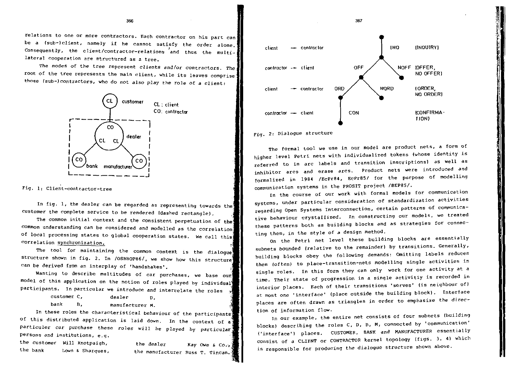366

relations to one or more contractors. Each contractor on his part can be a (sub-)client, namely if he cannot satisfy the order alone. Consequently, the client/contractor-relations and thus the multilateral **conperetin.** zre structured as **z trce.** 

The nodes of the tree represent clients and/or contractors. The root of the tree represents the main client, while its leaves comprise those (sub-Jcontractors. Wh0 do not also play the role of **a** client:



### Fig. 1: Client-contractor-tree

In fig. 1, the dealer can be regarded as representing towards the<sup>9</sup> customer the complete service to be rendered (dashed rectangle).

The common initial context and the consistent perpetuation of the common understanding can be considered and modelled **as** the correlatj of local processing states to global cooperation states. We call this correlation synchronization.

The tool for maintaining the common context is the dialogue structure shown in fig. 2. In / OSBB 0P86/, we show how this structure can be derived from an interplay of 'handshakes'.

Wanting to describe multitudes of car purchases, we base our model of this application on the notion of roles played by individual participants. In particular we introduce and interrelate the roles

customer C, dealer D.

bank B, manufacturer M.

In these roles the characteristical behaviour of the participants of this distributed application is laid down. In the context of  $a_j^T$ particuler car purchase these roles will be played by particular Persons and institutions, e.9.

the customer Will Knotpaigh, the dealer Kay Owe  $\overline{6}$  Co.<sub>7</sub><sup>1</sup>, the bank Lown & Sharques, the manufacturer Ruse T Tincan

the manufacturer Russ T. Tincan.



Fig. 2: Dialogue structure

The formal tool **ve** use in our model **are** product nets, a form of higher level Petri nets with individualized tokens (whose identity is referred to in arc labels and transition inscriptionsl **as** well as inhibitor arcs and erase arcs. Product nets were introduced and formalired in 1984 IEcPr84, EcPr85/ for the purpose of modelling communication systems in the PROSIT project /BEP85/.

In the course of our work with formal models for communication systems, under particular consideration of standardization activities regarding Open Systems Interconnection, certain patterns of communicative behaviour crystallized. In constructinq our models. we treated these patterns both **as** building blocks and **as** strategies for connecting them, in the style of *a* design method.

On the Petri net level these building blocks **are** essentially subnets bounded (relative to the remainder) by transitions. Generally, building blocks obey the following demands: Omitting labels reduces them (often) to place-transition-nets modelling single activities in single roles. In this form they can only work for one activity at a time. Their state of progression in a single activitiy is recorded in interior places. Each of their transitions 'serves' (is neighbour of) at most one 'interface' lplace outside the building block). Interface places are often dravn **as** triangles in order to emphasize the direction of information flow.

In our example, the entire net consists of four subnets (building blocks] describing the roles C, D, B, **M,** connected by 'communication' ('interface') places. CUSTOMER, BANK and MANUFACTURER essentially Consist of **a** CLIENT or cONTRACTOR kerne1 topology lfigs. 3, **41** which is responsible for producing the dialogue structure shown above.

367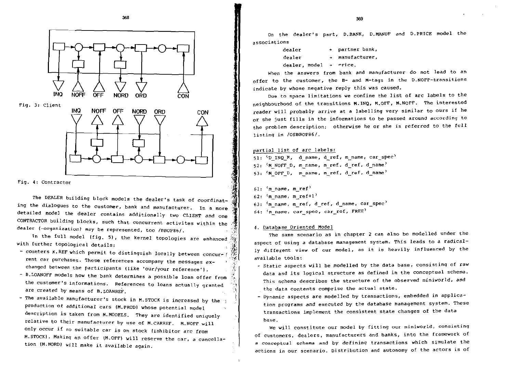



The DEALER buildinq block models the dealer's task of coordinating the dialogues to the customer, bank and manufacturer. In a more detailed model the dealer contains additionally two CLIENT and one CONTRACTOR building blocks, such that concurrent activites within the dealer (-organization) may be represented, too /BBOP86/.

with further topological details:

- In the full model (fig. 5), the kernel topologies are enhanced in further topological details:<br>
.,;in the full model (fig. 5), the kernel topologies are enhanced aspectively aspected to the message of the messages ex-- counters x.REF which permit to distinguish locally between concur- **t** % changed between the participants (like 'our/your reference').<br>- B.LOANOFF models how the bank determines a possible loan offer from
- the customer's informations. References to loans actually granted  $\begin{bmatrix} 0 & 0 & 0 \\ 0 & 0 & 0 \\ 0 & 0 & 0 \end{bmatrix}$ are created by means of B.LOANREF.<br>- The available manufacturer's stock in M.STOCK is increased by the :
- production of additional cars (M.PRODI whose potential model description is taken from M.MODELS. They are identified uniquely relative to their manufacturer by **use** of M.CnRREF. M.NOFF vill only occur if no suitable **car** is on stock (inhibitor arc from M.STOCKl. Making an offer (M.OFF) will reserve the **car. a** cancellation (M.NORD) will make it available again.

On the dealer's part, D.BANK, D.MANUF and D.PRICE model the associations

> $de$ aler  $\rightarrow$  partner bank,  $dener$  + manufacturer, dealer, model  $+$  mrice.

When the answers from bank **and** manufacturer do not lead to an offer to the customer, the B- and M-tags in the D.NOFF-transitions indicate by whose negative reply this was caused.

Due to space limitations we confine the list of arc labels to the neiqhbourhoad of the transitions W.INQ, H.OFF, W.NOFF. The interested reader will probably arrive at **a** labellinq very similar to ours if he or she just fills in the informations to be passed around according to the problem description; otherwise he or she is referred to the full listing in /OSBBoP86/.

partial list of arc labels:

- 51:  $(D \text{ INQ}_M, d \text{ name}, d_ref, m \text{ name}, car/sec)$
- 52: 'M\_NOFF\_D, m\_name, m\_ref. d\_ref. d\_name'
- 53; 'M-OFF-D, m-name, m-ref, d\_ref, d\_name<sup>)</sup>
- $61:$  'm name, m-ref'
- $62:$  'm name, m ref+1<sup>3</sup>
- 63:  $\{m$  name, m-ref, d-ref, d-name, car-spec)
- 64: 'm-name, car-spec, car-rcf, FREE'

4. Database Oriented Model

The Same scenario as in chapter 2 can also be modelled under the aspect of usinq **a** database management system. This leads to **a** rsdically different view of our model, as it is heavily influenced by the available tools:

- Static aspects will be modelled by the data base, consisting of raw data and its loqical structure as defined in the conceptual schema. This schema describes the structure of the observed miniworld, and the data contents comprise the actual state.
- Dynamic aspects **are** modelled by transactions, embedded in application programs and executed by the database management system. These transactions implement the consistent state changes of the data base.

We will constitute our model by fitting our miniworld. consisting of customers, dealers, manufacturers and banks, into the framework of **a** conceptual schema and by defininq transactions which simulate the actions in our scenario. Distribution and autonomy of the actors is of

369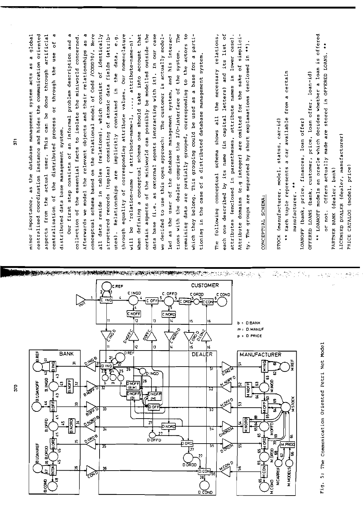

 $\vec{v}$ 

Here The Our first step consists of an informal problem description and a Afterwards we model the relevant objects and their relationships as a  $e.9.$ remaining data are partially grouped, corresponding to the actors to collection of the essential facts to isolate the miniworld concerned. all data reside in tables (relations), which consist of identically consisting of atomic data fields (attribequality of corresponding attribute values. Our nomenclature ..., attribute-name-n)'. when defining a conceptual schema one should take into account that certain aspects of the miniworld can possibly be modelled outside the case we decided to use this open approach: The customer is actually modelled as the user of the database management system, and his interacpartiour conceptual schema based on the relational model of Codd /CODD70/. tions with the dealer comprise the I/O-interface of the system. data, This grouping could be used as a base for a tioning in the case of a distributed database management system. external agents interacting with it). In in the contained 'relation-name ( attribute-name-1, Relationships are implicitly structured records (tuples) data base (i.e. as which they belong. will be through utes).

each one described by its name (in capital letters) and its list of in lower case). Attribute domains (e.g integer) are omitted for the sake of simplici-The following conceptual schema shows all the necessary relations, ty. The groups are separated by short explanations (enclosed in \*\*). attributes (enclosed in parentheses, attribute names

# CONCEPTUAL SCHEMA:

STOCK (manufacturer, model, status, car-id)

Each tuple represents a car available from a certain manufacturer. \*\*  $\ddot{\ddot{\cdot}}$ 

LOANOFF (bank, price, finances, loan offer)

OFFERED LOANS (bank, customer, price, loan offer, loan-id)

\*\* LOANOFF models an oracle which decides whether a loan is offered Offers actually made are stored in OFFERED LOANS. \*\* or not.

LICENSED DEALER (dealer, manufacturer) PARTNER BANK (dealer, bank)

PRICE CATALOG (model, price)



 $\bar{5}$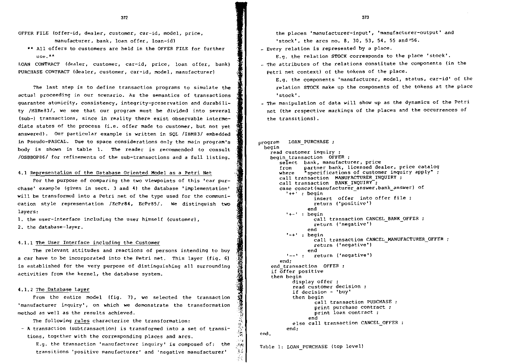- OFFER FILE loffer-id, daaler, customer, car-id. model, price, manufacturer, bank, loan offer, loan-idl
	- \*. All offers to customers **are** held in the OFFER FILE for further  $HSE.$ <sup>A  $*$ </sup>

LOAN CONTRACT (dealer, customer, car-id, price, loan offer, bank) PURCHASE CONTRACT (dealer, customer, car-id, model, manufacturer)

The last step is to define transaction programs to simulate the actual proceeding in our scenario. **As** the semantics of transactions guarantee atomicity, consistency. integrity-preservation and durability /HäRe83/, we **See** that our program must be divided into several (sub-) transactions, since in reality there exist Observable intermediate states of the process (i.e. offer made to customer, but not yet answered). Our particular example is written in SQL /IBM83/ embedded in Pseudo-PASCAL. Due to space considerations only the main program's body is shown in table 1. The reader is recommended to consult /OSBBOP86/ for refinements of the sub-transactions and a full listing.

4.1 Representation of the Database Oriented Model **as a** Petri Net

For the purpose of comparing the two vievpoints of this 'car purchase' example (given in sect. 3 and 4) the database 'implementation' will be transformed into **a** Petri net of the type used for the communication style representation IEcPr84. EcPr85/. We distinguish two layers:

1. the user-interface including the user himself (customer). 2. the database-layer.

### 4.1.1 The User Interface including the Customer

The relevant attitudes and reactions of persons intending to buy **a** car have to be incorporated into the Petri net. This layer Ifig. 6) is established for the very purpose of distinguishing all surrounding activities from the kernel, the database system.

### 4.1.2 The Database Layer

From the entire model (fig. **71, we** selected the transaction 'manufacturer inquiry'. on which we demonstrate the transformation method **as** well as the results achieved.

The following rules characterize the transformation:

- A transaction lsubtransactionl is transformed into **a** set of transitions, together with the corresponding places and arcs.

E.g. the transaction 'manufacturer inquiry' is composed of: the transitions 'positive manufacturer' and 'negative manufacturer'

the places 'manufacturer-input', 'manufacturer-output' and 'stock', the arcs no. 8, 30, 53, 54, 55 and 56.

- Every relation is represented by **a** place.

**E. the** relation STOCK corresponds to the place 'stock'.

- The attributes of the relations constitute the components (in the petri net context) of the tokens of the place.

E.g. the components 'manufacturer, model, status. car-id' of the relation STOCK make up the components of the tokens at the place 'stock'.

- The manipulation of data will show up **as** the dynamics of the Petri net (the respective markings of the places and the occurrences of the transitions) .

```
program LOAN-PURCHASE ;
 begin 
    read customer inquiry ; 
    begin transaction OFFER ;
        select bank, manufacturer, price 
        from partner bank, licensed dealer, price catalog<br>where "specifications of customer inquiry apply";
                  "specifications of customer inquiry apply" :
        call transaction HRNUFACTURE~INQUIRY ; 
call transaction BANK-INQUIRY ; 
        call transaction BANK_INCOIRT;<br>case concat(manufacturer_answer,bank_answer) of<br>'++': begin
          ***': begin<br>insert offer into offer file;
                     return ('positive') 
                   end 
          +-': begin
                     call transaction CANCEL BANK OFFER ;
                     return ('negative') 
                   end 
           -+ : begin 
                     call transaction CANCEL-MANUFACTURER-OFFER : 
                     return ('negative') 
                   end 
           '--' : return ('negative')
        end: 
    end transaction OFFER ;
    if offer positive 
    then begin 
             display offer ; 
             read customer decision ; 
             if decision = 'buy' 
             then begin 
                     call transaction PURCHASE ; 
                     print purchase contract ; 
                     print loan contract ; 
                   end 
             else call transaction CANCEL OFFER ;
          end; 
end.
```
Table 1: LOAN-PURCHASE (top level)

長 بلتجا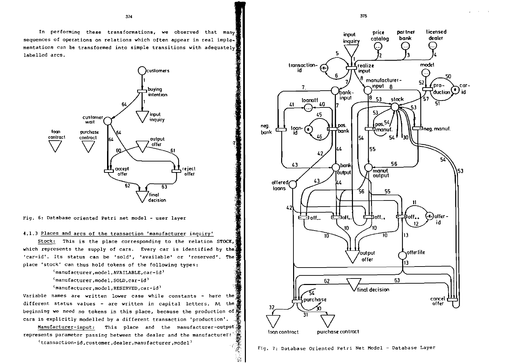In performinq these transformations, we observed that many sequences of Operations on relations which often appear in real implementations can be transformed into simple transitions with adequately labelled arcs.



Fiq. 6: Database oriented Petri net model - user layer

4.1.3 Places and arcs of the transaction 'manufacturer inquiry'

Stock: This is the place corresponding to the relation STOCK, which represents the supply of **cars.** Every **car** is identified by the, 'car-id'. Its status can be 'sold', 'available' or 'reserved'. The place 'stock' can thus hold tokens of the followinq types:

- **'manufacturer,model,AVAILABLE,car-id'**
- **'manufacturer,model,SOLD,car-id'**
- **~mdnufacturer,model,RESERVED,car-id'**

Variable names **are** written lower case while constants - here the different status values - are written in capital letters. At the beqinninq we need no tokens in this place, because the production of cars is explicitly modelled by **a** different transaction 'production'.

Manufacturer-input: This place and the manufacturer-output .,% represents parameter passing between the dealer and the manufacturer:

**~transaction-id,customer,dealer,manufacturer,model~** 





 $\mathcal{F}$  !

 $\hat{\mathcal{S}}$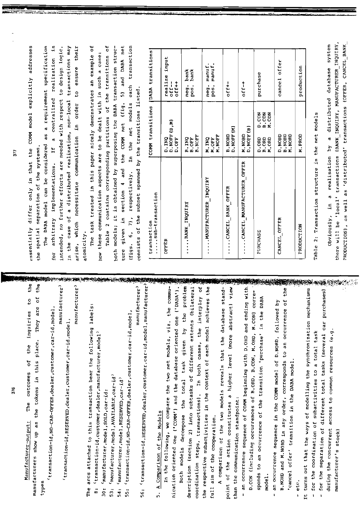**BOARD AND ON APPLICATION** the They are of the  $\ddot{c}$ of the inquiries manufacturers show up as the tokens in this place. The outcomes Manufacturer-output: types

'transaction-id, NO-CAR-OFFER, dealer, customer, car-id, model,

manufacturer<sup>)</sup> (transaction-id, RESERVED, dealer, customer, car-id, model, manufacturer<sup>)</sup>

The arcs attached to this transaction bear the following labels:

 $\langle$ transaction-id,customer,dealer,manufacturer,model $\rangle$  $\ddot{\circ}$ 

'manufacturer, model, SOLD, car-id:  $\ddot{ }$ 

(manufacturer, model, AVAILABLE, car-id)  $\frac{3}{2}$ :

54: 'manufacturer, model, RESERVED, car-id' 55 :

 $\langle$ transaction-id, NO-CAR-OFFER, dealer, customer, car-id, model,

56: 'transaction-id,RESERVED,dealer,customer,car-id,model,manufacturer) manufacturer<sup>></sup>

5. A Comparison of the Models

In the following, we compare the two net models, viz. the communication oriented one ('COMM') and the database oriented one ('DABA').

Both models decompose the total task given by the problem description (section 2) into subtasks of different extents (bilateral coordination steps, transactions). In both cases, the interplay of the respective subactivities in the context of each model achieves the full aim of the cooperation.

A comparison of the two models reveals that the database standpoint of the action constitutes a higher level (more abstract) view than the communication standpoint:

- **SALES AND ANOXIAL START OF AN ALL AND ANOXIAL START OF ALL AND ARTICLES AND ALL AND ARTICLES AND ARTICLES AND** - an occurrence sequence of COMM beginning with D.ORD and ending with. D.COM (including occurrences of B.ORD, B.COM, M.ORD, M.CON) corresponds to an occurrence of the transition 'purchase' in the DABA model.
	- B. NORD and M. NORD in any order, corresponds to an occurrence of the - an occurrence sequence in the COMM model of D.NORD, followed by 'cancel offer' transition in the DABA model.

 $\frac{c}{c}$ 

It turns out that the ways of modelling the synchronization mechanisms - for the coordination of subactivities to a total task

for the separation of different total tasks (several car purchases) during the concurrent access to common resources (e.g. manufacturer's stock)

Table 2: Transaction structure in the net models

there will be 'local' transactions (BANK\_INQUIRY, MANUFACTURER\_INQUIRY, Obviously, in a realisation by a distributed database system

PRODUCTION), as well as 'distributed' transactions (OFFER, CANCEL BANK

| sub-transaction<br>transaction | COMM transitions (DABA transitions)                     |                                   |
|--------------------------------|---------------------------------------------------------|-----------------------------------|
| OFFER                          | D.INQ<br>D.NOFF(B,M)<br>D.OFF                           | realize input<br>off--<br>$off++$ |
| BANK INQUIRY                   | B. INQ<br>B. OFF<br>B. NOFF                             | kan k<br>pos. bank<br>neg.        |
| MANUFACTURER INQUIRY           | M.NOFF<br>M.INO<br>M.OFF                                | manuf.<br>manuf<br>neg.<br>pos.   |
| CANCEL BANK OPPER              | D. NOFF (M)<br>B.NORD                                   | $off++$                           |
| CANCEL MANUFACTURER OFFER      | M.NORD<br>D.NOFF(B)                                     | $off-1$                           |
| PURCHASE                       | <b>P.COM</b><br><b>B.COM</b><br>0.080<br>B.080<br>H.080 | purchase                          |
| CANCEL OFFER                   | D.NORD<br>B.NORD<br>M.NORD                              | cancel offer                      |
| PRODUCTION                     | M.PROD                                                  | production                        |
|                                |                                                         |                                   |

essentially differ only in that the COMM model explicitly addresses the spatial separation of the systems.

377

The DABA model can be considered as a requirement specification  $\frac{1}{4}$  S In the case of a distributed realization, non-local transactions may ensure their intended, no further efforts are needed with respect to design logic. realization  $\mathbf{c}$ a centralized arise, which necessitate communication in order  $I$ f arbitrary implementations. atomicity. for

The task treated in this paper nicely demonstrates an example of now these communication aspects are to be dealt with in such a case: Table 2 contains corresponding partitions of the transitions of In the net models each transaction both models; it is obtained by superposing the DABA transaction structhe COMM net (fig. 5) and DABA net consists of the subnet spanned by the transitions listed. ture given in section 4 and (figs.  $6, 7$ ), respectively.

 $\frac{6}{3}$